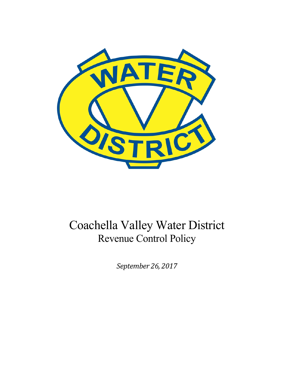

# Coachella Valley Water District Revenue Control Policy

*September 26, 2017*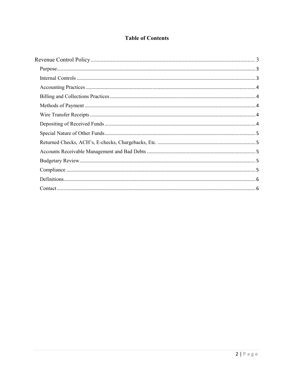## **Table of Contents**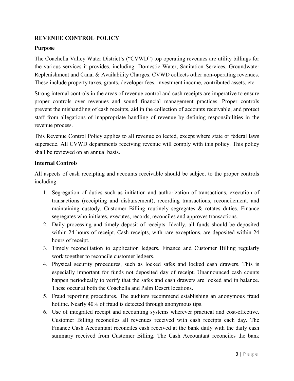## <span id="page-2-0"></span>**REVENUE CONTROL POLICY**

#### **Purpose**

The Coachella Valley Water District's ("CVWD") top operating revenues are utility billings for the various services it provides, including: Domestic Water, Sanitation Services, Groundwater Replenishment and Canal & Availability Charges. CVWD collects other non-operating revenues. These include property taxes, grants, developer fees, investment income, contributed assets, etc.

Strong internal controls in the areas of revenue control and cash receipts are imperative to ensure proper controls over revenues and sound financial management practices. Proper controls prevent the mishandling of cash receipts, aid in the collection of accounts receivable, and protect staff from allegations of inappropriate handling of revenue by defining responsibilities in the revenue process.

This Revenue Control Policy applies to all revenue collected, except where state or federal laws supersede. All CVWD departments receiving revenue will comply with this policy. This policy shall be reviewed on an annual basis.

#### **Internal Controls**

All aspects of cash receipting and accounts receivable should be subject to the proper controls including:

- 1. Segregation of duties such as initiation and authorization of transactions, execution of transactions (receipting and disbursement), recording transactions, reconcilement, and maintaining custody. Customer Billing routinely segregates  $\&$  rotates duties. Finance segregates who initiates, executes, records, reconciles and approves transactions.
- 2. Daily processing and timely deposit of receipts. Ideally, all funds should be deposited within 24 hours of receipt. Cash receipts, with rare exceptions, are deposited within 24 hours of receipt.
- 3. Timely reconciliation to application ledgers. Finance and Customer Billing regularly work together to reconcile customer ledgers.
- 4. Physical security procedures, such as locked safes and locked cash drawers. This is especially important for funds not deposited day of receipt. Unannounced cash counts happen periodically to verify that the safes and cash drawers are locked and in balance. These occur at both the Coachella and Palm Desert locations.
- 5. Fraud reporting procedures. The auditors recommend establishing an anonymous fraud hotline. Nearly 40% of fraud is detected through anonymous tips.
- 6. Use of integrated receipt and accounting systems wherever practical and cost-effective. Customer Billing reconciles all revenues received with cash receipts each day. The Finance Cash Accountant reconciles cash received at the bank daily with the daily cash summary received from Customer Billing. The Cash Accountant reconciles the bank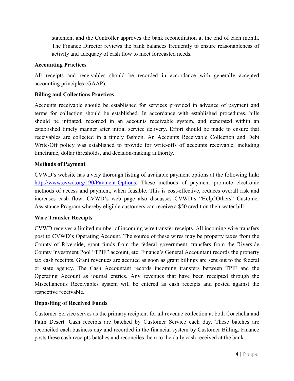<span id="page-3-0"></span>statement and the Controller approves the bank reconciliation at the end of each month. The Finance Director reviews the bank balances frequently to ensure reasonableness of activity and adequacy of cash flow to meet forecasted needs.

#### **Accounting Practices**

All receipts and receivables should be recorded in accordance with generally accepted accounting principles (GAAP).

## **Billing and Collections Practices**

Accounts receivable should be established for services provided in advance of payment and terms for collection should be established. In accordance with established procedures, bills should be initiated, recorded in an accounts receivable system, and generated within an established timely manner after initial service delivery. Effort should be made to ensure that receivables are collected in a timely fashion. An Accounts Receivable Collection and Debt Write-Off policy was established to provide for write-offs of accounts receivable, including timeframe, dollar thresholds, and decision-making authority.

#### **Methods of Payment**

CVWD's website has a very thorough listing of available payment options at the following link: [http://www.cvwd.org/190/Payment-Options.](http://www.cvwd.org/190/Payment-Options) These methods of payment promote electronic methods of access and payment, when feasible. This is cost-effective, reduces overall risk and increases cash flow. CVWD's web page also discusses CVWD's "Help2Others" Customer Assistance Program whereby eligible customers can receive a \$50 credit on their water bill.

## **Wire Transfer Receipts**

CVWD receives a limited number of incoming wire transfer receipts. All incoming wire transfers post to CVWD's Operating Account. The source of these wires may be property taxes from the County of Riverside, grant funds from the federal government, transfers from the Riverside County Investment Pool "TPIF" account, etc. Finance's General Accountant records the property tax cash receipts. Grant revenues are accrued as soon as grant billings are sent out to the federal or state agency. The Cash Accountant records incoming transfers between TPIF and the Operating Account as journal entries. Any revenues that have been receipted through the Miscellaneous Receivables system will be entered as cash receipts and posted against the respective receivable.

#### **Depositing of Received Funds**

Customer Service serves as the primary recipient for all revenue collection at both Coachella and Palm Desert. Cash receipts are batched by Customer Service each day. These batches are reconciled each business day and recorded in the financial system by Customer Billing. Finance posts these cash receipts batches and reconciles them to the daily cash received at the bank.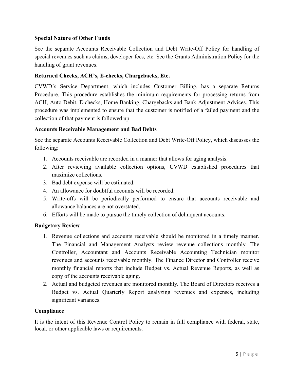#### <span id="page-4-0"></span>**Special Nature of Other Funds**

See the separate Accounts Receivable Collection and Debt Write-Off Policy for handling of special revenues such as claims, developer fees, etc. See the Grants Administration Policy for the handling of grant revenues.

#### **Returned Checks, ACH's, E-checks, Chargebacks, Etc.**

CVWD's Service Department, which includes Customer Billing, has a separate Returns Procedure. This procedure establishes the minimum requirements for processing returns from ACH, Auto Debit, E-checks, Home Banking, Chargebacks and Bank Adjustment Advices. This procedure was implemented to ensure that the customer is notified of a failed payment and the collection of that payment is followed up.

#### **Accounts Receivable Management and Bad Debts**

See the separate Accounts Receivable Collection and Debt Write-Off Policy, which discusses the following:

- 1. Accounts receivable are recorded in a manner that allows for aging analysis.
- 2. After reviewing available collection options, CVWD established procedures that maximize collections.
- 3. Bad debt expense will be estimated.
- 4. An allowance for doubtful accounts will be recorded.
- 5. Write-offs will be periodically performed to ensure that accounts receivable and allowance balances are not overstated.
- 6. Efforts will be made to pursue the timely collection of delinquent accounts.

#### **Budgetary Review**

- 1. Revenue collections and accounts receivable should be monitored in a timely manner. The Financial and Management Analysts review revenue collections monthly. The Controller, Accountant and Accounts Receivable Accounting Technician monitor revenues and accounts receivable monthly. The Finance Director and Controller receive monthly financial reports that include Budget vs. Actual Revenue Reports, as well as copy of the accounts receivable aging.
- 2. Actual and budgeted revenues are monitored monthly. The Board of Directors receives a Budget vs. Actual Quarterly Report analyzing revenues and expenses, including significant variances.

#### **Compliance**

It is the intent of this Revenue Control Policy to remain in full compliance with federal, state, local, or other applicable laws or requirements.